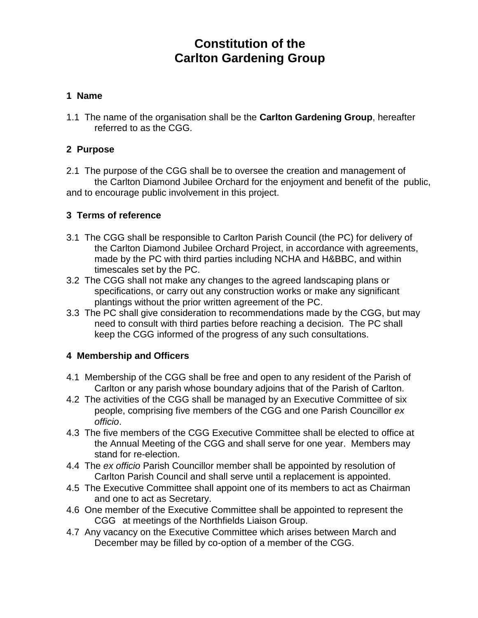# **Constitution of the Carlton Gardening Group**

#### **1 Name**

1.1 The name of the organisation shall be the **Carlton Gardening Group**, hereafter referred to as the CGG.

### **2 Purpose**

2.1 The purpose of the CGG shall be to oversee the creation and management of the Carlton Diamond Jubilee Orchard for the enjoyment and benefit of the public, and to encourage public involvement in this project.

#### **3 Terms of reference**

- 3.1 The CGG shall be responsible to Carlton Parish Council (the PC) for delivery of the Carlton Diamond Jubilee Orchard Project, in accordance with agreements, made by the PC with third parties including NCHA and H&BBC, and within timescales set by the PC.
- 3.2 The CGG shall not make any changes to the agreed landscaping plans or specifications, or carry out any construction works or make any significant plantings without the prior written agreement of the PC.
- 3.3 The PC shall give consideration to recommendations made by the CGG, but may need to consult with third parties before reaching a decision. The PC shall keep the CGG informed of the progress of any such consultations.

#### **4 Membership and Officers**

- 4.1 Membership of the CGG shall be free and open to any resident of the Parish of Carlton or any parish whose boundary adjoins that of the Parish of Carlton.
- 4.2 The activities of the CGG shall be managed by an Executive Committee of six people, comprising five members of the CGG and one Parish Councillor *ex officio*.
- 4.3 The five members of the CGG Executive Committee shall be elected to office at the Annual Meeting of the CGG and shall serve for one year. Members may stand for re-election.
- 4.4 The *ex officio* Parish Councillor member shall be appointed by resolution of Carlton Parish Council and shall serve until a replacement is appointed.
- 4.5 The Executive Committee shall appoint one of its members to act as Chairman and one to act as Secretary.
- 4.6 One member of the Executive Committee shall be appointed to represent the CGG at meetings of the Northfields Liaison Group.
- 4.7 Any vacancy on the Executive Committee which arises between March and December may be filled by co-option of a member of the CGG.